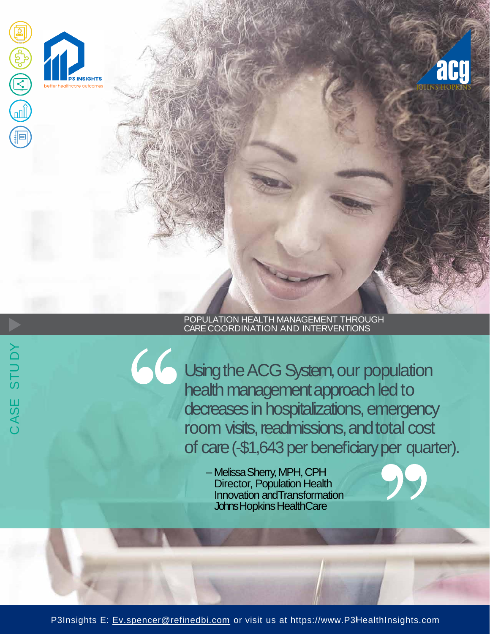

## POPULATION HEALTH MANAGEMENT THROUGH CARE COORDINATION AND INTERVENTIONS

Using the ACG System, our population health management approach led to decreases in hospitalizations, emergency room visits, readmissions, and total cost of care (-\$1,643 per beneficiary per quarter).

> – Melissa Sherry, MPH, CPH Director, Population Health Innovation andTransformation Johns Hopkins HealthCare

P3Insights E: [Ev.spencer@refinedbi.com](mailto:Ev.spencer@refinedbi.com) or visit us at https://www.P3HealthInsights.com

CASE STU DY